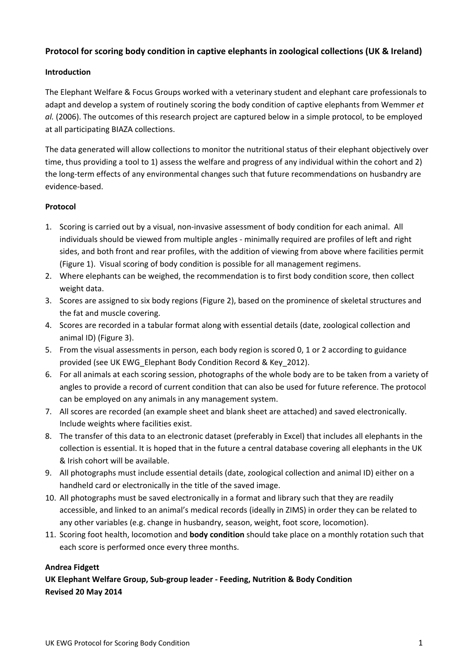# **Protocol for scoring body condition in captive elephants in zoological collections (UK & Ireland)**

## **Introduction**

The Elephant Welfare & Focus Groups worked with a veterinary student and elephant care professionals to adapt and develop a system of routinely scoring the body condition of captive elephants from Wemmer *et al.* (2006). The outcomes of this research project are captured below in a simple protocol, to be employed at all participating BIAZA collections.

The data generated will allow collections to monitor the nutritional status of their elephant objectively over time, thus providing a tool to 1) assess the welfare and progress of any individual within the cohort and 2) the long‐term effects of any environmental changes such that future recommendations on husbandry are evidence‐based.

### **Protocol**

- 1. Scoring is carried out by a visual, non-invasive assessment of body condition for each animal. All individuals should be viewed from multiple angles ‐ minimally required are profiles of left and right sides, and both front and rear profiles, with the addition of viewing from above where facilities permit (Figure 1). Visual scoring of body condition is possible for all management regimens.
- 2. Where elephants can be weighed, the recommendation is to first body condition score, then collect weight data.
- 3. Scores are assigned to six body regions (Figure 2), based on the prominence of skeletal structures and the fat and muscle covering.
- 4. Scores are recorded in a tabular format along with essential details (date, zoological collection and animal ID) (Figure 3).
- 5. From the visual assessments in person, each body region is scored 0, 1 or 2 according to guidance provided (see UK EWG\_Elephant Body Condition Record & Key\_2012).
- 6. For all animals at each scoring session, photographs of the whole body are to be taken from a variety of angles to provide a record of current condition that can also be used for future reference. The protocol can be employed on any animals in any management system.
- 7. All scores are recorded (an example sheet and blank sheet are attached) and saved electronically. Include weights where facilities exist.
- 8. The transfer of this data to an electronic dataset (preferably in Excel) that includes all elephants in the collection is essential. It is hoped that in the future a central database covering all elephants in the UK & Irish cohort will be available.
- 9. All photographs must include essential details (date, zoological collection and animal ID) either on a handheld card or electronically in the title of the saved image.
- 10. All photographs must be saved electronically in a format and library such that they are readily accessible, and linked to an animal's medical records (ideally in ZIMS) in order they can be related to any other variables (e.g. change in husbandry, season, weight, foot score, locomotion).
- 11. Scoring foot health, locomotion and **body condition** should take place on a monthly rotation such that each score is performed once every three months.

#### **Andrea Fidgett**

**UK Elephant Welfare Group, Sub‐group leader ‐ Feeding, Nutrition & Body Condition Revised 20 May 2014**